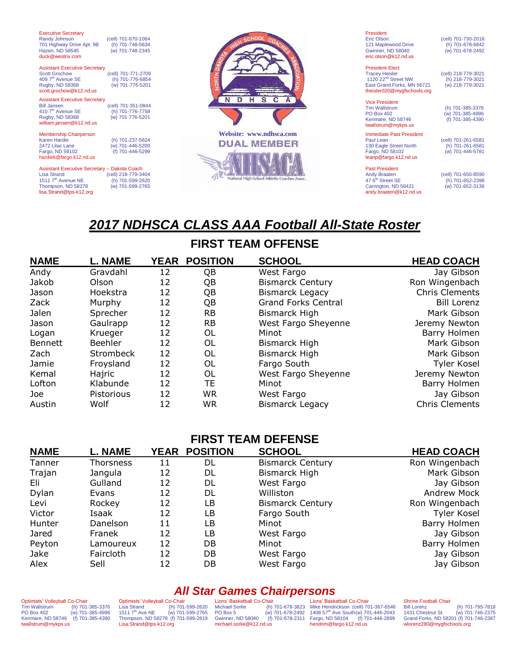| <b>Executive Secretary</b><br>Randy Johnson<br>701 Highway Drive Apt. 9B<br>Hazen, ND 58545<br>duck@westriv.com                                       | (cell) 701-870-1064<br>(h) 701-748-5634<br>(w) 701-748-2345 |                                                    | President<br><b>Eric Olson</b><br>121 Maplewood Drive<br>Gwinner, ND 58040<br>eric.olson@k12.nd.us                                       | (cell) 701-730-2018<br>(h) 701-678-6842<br>(w) 701-678-2492 |
|-------------------------------------------------------------------------------------------------------------------------------------------------------|-------------------------------------------------------------|----------------------------------------------------|------------------------------------------------------------------------------------------------------------------------------------------|-------------------------------------------------------------|
| <b>Assistant Executive Secretary</b><br><b>Scott Grochow</b><br>409 7 <sup>th</sup> Avenue SE<br>Rugby, ND 58368<br>scott.grochow@k12.nd.us           | (cell) 701-771-2709<br>(h) 701-776-6854<br>(w) 701-776-5201 |                                                    | President-Elect<br><b>Tracey Heisler</b><br>1120 22 <sup>nd</sup> Street NW<br>East Grand Forks, MN 56721<br>theisler020@mygfschools.org | (cell) 218-779-3021<br>(h) 218-779-3021<br>(w) 218-779-3021 |
| <b>Assistant Executive Secretary</b><br><b>Bill Jansen</b><br>410 7 <sup>th</sup> Avenue SE<br>Rugby, ND 58368<br>william.jansen@k12.nd.us            | (cell) 701-351-0844<br>(h) 701-776-7758<br>(w) 701-776-5201 | H<br>$\mathbf{s}$<br>N<br>D<br>$\mathbf{C}$        | <b>Vice President</b><br><b>Tim Wallstrum</b><br><b>PO Box 402</b><br>Kenmare, ND 58746<br>twallstrum@mykps.us                           | (h) 701-385-3376<br>(w) 701-385-4996<br>(f) 701-385-4390    |
| <b>Membership Chairperson</b><br>Karen Hardie<br>2472 Lilac Lane<br>Fargo, ND 58102<br>hardiek@fargo.k12.nd.us                                        | (h) 701-237-5624<br>(w) 701-446-5200<br>(f) 701-446-5299    | Website: www.ndhsca.com<br><b>DUAL MEMBER</b>      | <b>Immediate Past President</b><br>Paul Lean<br>130 Eagle Street North<br>Fargo, ND 58102<br>leanp@fargo.k12.nd.us                       | (cell) 701-261-6581<br>(h) 701-261-6581<br>(w) 701-446-5781 |
| Assistant Executive Secretary - Dakota Coach<br><b>Lisa Strand</b><br>1511 7 <sup>th</sup> Avenue NE<br>Thompson, ND 58278<br>lisa.Strand@tps-k12.org | (cell) 218-779-3404<br>(h) 701-599-2620<br>(w) 701-599-2765 | <b>National High School Athletic Coaches Assoc</b> | <b>Past President</b><br><b>Andy Braaten</b><br>47 6 <sup>th</sup> Street SE<br>Carrington, ND 58421<br>andy.braaten@k12.nd.us           | (cell) 701-650-8590<br>(h) 701-652-2398<br>(w) 701-652-3136 |

# *2017 NDHSCA CLASS AAA Football All-State Roster*

# **FIRST TEAM OFFENSE**

| <b>NAME</b>    | <b>L. NAME</b>   |    | YEAR POSITION | <b>SCHOOL</b>              | <b>HEAD COACH</b>     |
|----------------|------------------|----|---------------|----------------------------|-----------------------|
| Andy           | Gravdahl         | 12 | QB            | West Fargo                 | Jay Gibson            |
| Jakob          | Olson            | 12 | QB            | <b>Bismarck Century</b>    | Ron Wingenbach        |
| Jason          | Hoekstra         | 12 | QB            | <b>Bismarck Legacy</b>     | Chris Clements        |
| Zack           | Murphy           | 12 | QB            | <b>Grand Forks Central</b> | <b>Bill Lorenz</b>    |
| Jalen          | Sprecher         | 12 | <b>RB</b>     | Bismarck High              | Mark Gibson           |
| Jason          | Gaulrapp         | 12 | <b>RB</b>     | West Fargo Sheyenne        | Jeremy Newton         |
| Logan          | Krueger          | 12 | 0L            | Minot                      | Barry Holmen          |
| <b>Bennett</b> | <b>Beehler</b>   | 12 | OL            | Bismarck High              | Mark Gibson           |
| Zach           | <b>Strombeck</b> | 12 | 0L            | <b>Bismarck High</b>       | Mark Gibson           |
| Jamie          | Froysland        | 12 | 0L            | Fargo South                | <b>Tyler Kosel</b>    |
| Kemal          | Hajric           | 12 | 0L            | West Fargo Sheyenne        | Jeremy Newton         |
| Lofton         | Klabunde         | 12 | TE            | Minot                      | Barry Holmen          |
| Joe            | Pistorious       | 12 | <b>WR</b>     | West Fargo                 | Jay Gibson            |
| Austin         | Wolf             | 12 | WR            | <b>Bismarck Legacy</b>     | <b>Chris Clements</b> |

## **FIRST TEAM DEFENSE**

| <b>NAME</b> | L. NAME   | <b>YEAR</b> | <b>POSITION</b> | <b>SCHOOL</b>           | <b>HEAD COACH</b> |
|-------------|-----------|-------------|-----------------|-------------------------|-------------------|
| Tanner      | Thorsness | 11          | DL              | <b>Bismarck Century</b> | Ron Wingenbach    |
| Trajan      | Jangula   | 12          | DL              | Bismarck High           | Mark Gibson       |
| Eli         | Gulland   | 12          | DL              | West Fargo              | Jay Gibson        |
| Dylan       | Evans     | 12          | DL              | Williston               | Andrew Mock       |
| Levi        | Rockey    | 12          | LB              | <b>Bismarck Century</b> | Ron Wingenbach    |
| Victor      | Isaak     | 12          | LB              | Fargo South             | Tyler Kosel       |
| Hunter      | Danelson  | 11          | LB              | Minot                   | Barry Holmen      |
| Jared       | Franek    | 12          | LB              | West Fargo              | Jay Gibson        |
| Peyton      | Lamoureux | 12          | DB              | Minot                   | Barry Holmen      |
| Jake        | Faircloth | 12          | DB.             | West Fargo              | Jay Gibson        |
| Alex        | Sell      | 12          | DB              | West Fargo              | Jay Gibson        |

# *All Star Games Chairpersons*

Optimists' Volleyball Co-Chair Tim Wallstrum (h) 701-385-3376 PO Box 402 (w) 701-385-4996 Kenmare, ND 58746 (f) 701-385-4390 twallstrum@mykps.us

Optimists' Volleyball Co-Chair Lisa Strand (h) 701-599-2620 1511 7th Ave NE (w) 701-599-2765 Thompson, ND 58278 (f) 701-599-2819 [Lisa.Strand@tps-k12.org](mailto:Lisa.Strand@tps-k12.org)

Lions' Basketball Co-Chair Michael Sorlie (h) 701-678-3823 PO Box 5 (w) 701-678-2492 Gwinner, ND 58040 (f) 701-678-2311 michael.sorlie@k12.nd.us

Lions' Basketball Co-Chair Mike Hendrickson (cell) 701-367-6546<br>1408 57<sup>th</sup> Ave South(w) 701-446-2043<br>Fargo, ND 58104 (f) 701-446-2899 hendrim@fargo.k12.nd.us

Shrine Football Chair<br>Bill Lorenz<br>1431 Chestnut St. (h) 701-795-7818 1431 Chestnut St. (w) 701-746-2375 Grand Forks, ND 58201 (f) 701-746-2387 wlorenz280@mygfschools.org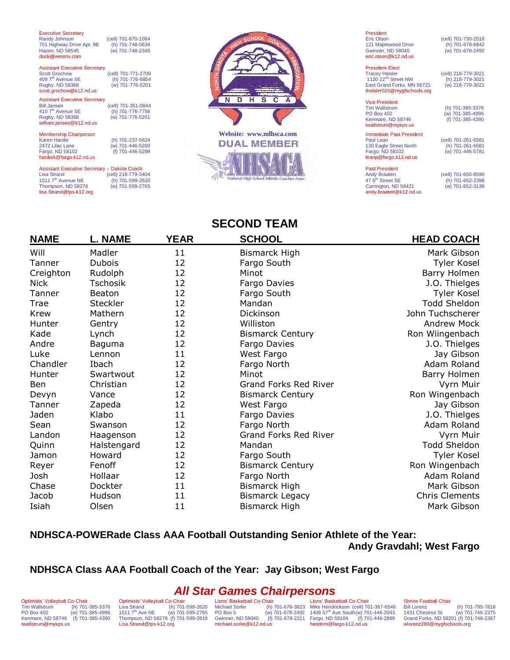| <b>Executive Secretary</b><br>Randy Johnson<br>701 Highway Drive Apt. 9B<br>Hazen, ND 58545<br>duck@westriv.com                                       | (cell) 701-870-1064<br>(h) 701-748-5634<br>(w) 701-748-2345 |                         |
|-------------------------------------------------------------------------------------------------------------------------------------------------------|-------------------------------------------------------------|-------------------------|
| <b>Assistant Executive Secretary</b><br><b>Scott Grochow</b><br>409 7 <sup>th</sup> Avenue SE<br>Rugby, ND 58368<br>scott.grochow@k12.nd.us           | (cell) 701-771-2709<br>(h) 701-776-6854<br>(w) 701-776-5201 |                         |
| <b>Assistant Executive Secretary</b><br><b>Bill Jansen</b><br>410 7 <sup>th</sup> Avenue SE<br>Rugby, ND 58368<br>william.jansen@k12.nd.us            | (cell) 701-351-0844<br>(h) 701-776-7758<br>(w) 701-776-5201 |                         |
| <b>Membership Chairperson</b><br>Karen Hardie<br>2472 Lilac Lane<br>Fargo, ND 58102<br>hardiek@fargo.k12.nd.us                                        | (h) 701-237-5624<br>(w) 701-446-5200<br>(f) 701-446-5299    | <b>Website:</b><br>DUAL |
| Assistant Executive Secretary - Dakota Coach<br><b>Lisa Strand</b><br>1511 7 <sup>th</sup> Avenue NE<br>Thompson, ND 58278<br>lisa.Strand@tps-k12.org | (cell) 218-779-3404<br>(h) 701-599-2620<br>(w) 701-599-2765 |                         |



President<br>Eric Olson 121 Maplewood Drive (h) 701-678-6842<br>
Gwinner, ND 58040 (w) 701-678-2492 Gwinner, ND 58040 [eric.olson@k12.nd.us](mailto:eric.olson@k12.nd.us)

President-Elect

**Vice President<br>Tim Wallstrum** 

Kenmare, ND 58746 twallstrum@mykps.us

Tracey Heisler (cell) 218-779-3021 1120 22nd Street NW (h) 218-779-3021 East Grand Forks, MN 56721 (w) 218-779-3021 theisler020@mygfschools.org

Tim Wallstrum (h) 701-385-3376<br>PO Box 402 (w) 701-385-4996 (w) 701-385-4996<br>(f) 701-385-4390

(cell) 701-730-2018<br>(h) 701-678-6842

Immediate Past President Paul Lean (cell) 701-261-6581 130 Eagle Street North (h) 701-261-6581 Fargo, ND 58102 (w) 701-446-5781 leanp@fargo.k12.nd.us

Past President<br>Andy Braaten Andy Braaten (cell) 701-650-8590<br>47 6<sup>th</sup> Street SE (h) 701-652-2398 Carrington, ND 58421 (w) 701-652-3136 [andy.braaten@k12.nd.us](mailto:andy.braaten@k12.nd.us) 

(h) 701-652-2398<br>(w) 701-652-3136

#### **SECOND TEAM**

| <b>NAME</b> | <b>L. NAME</b> | YEAR | <u>SCHOOL</u>                | <u>HEAD COACH</u>     |
|-------------|----------------|------|------------------------------|-----------------------|
| Will        | Madler         | 11   | Bismarck High                | Mark Gibson           |
| Tanner      | <b>Dubois</b>  | 12   | Fargo South                  | Tyler Kosel           |
| Creighton   | Rudolph        | 12   | Minot                        | Barry Holmen          |
| Nick        | Tschosik       | 12   | Fargo Davies                 | J.O. Thielges         |
| Tanner      | Beaton         | 12   | Fargo South                  | Tyler Kosel           |
| Trae        | Steckler       | 12   | Mandan                       | Todd Sheldon          |
| <b>Krew</b> | Mathern        | 12   | Dickinson                    | John Tuchscherer      |
| Hunter      | Gentry         | 12   | Williston                    | Andrew Mock           |
| Kade        | Lynch          | 12   | <b>Bismarck Century</b>      | Ron Wiingenbach       |
| Andre       | Baguma         | 12   | Fargo Davies                 | J.O. Thielges         |
| Luke        | Lennon         | 11   | West Fargo                   | Jay Gibson            |
| Chandler    | Ibach          | 12   | Fargo North                  | Adam Roland           |
| Hunter      | Swartwout      | 12   | Minot                        | Barry Holmen          |
| Ben         | Christian      | 12   | <b>Grand Forks Red River</b> | Vyrn Muir             |
| Devyn       | Vance          | 12   | <b>Bismarck Century</b>      | Ron Wingenbach        |
| Tanner      | Zapeda         | 12   | West Fargo                   | Jay Gibson            |
| Jaden       | Klabo          | 11   | Fargo Davies                 | J.O. Thielges         |
| Sean        | Swanson        | 12   | Fargo North                  | Adam Roland           |
| Landon      | Haagenson      | 12   | <b>Grand Forks Red River</b> | Vyrn Muir             |
| Quinn       | Halstengard    | 12   | Mandan                       | <b>Todd Sheldon</b>   |
| Jamon       | Howard         | 12   | Fargo South                  | Tyler Kosel           |
| Reyer       | Fenoff         | 12   | <b>Bismarck Century</b>      | Ron Wingenbach        |
| Josh        | Hollaar        | 12   | Fargo North                  | Adam Roland           |
| Chase       | Dockter        | 11   | Bismarck High                | Mark Gibson           |
| Jacob       | Hudson         | 11   | <b>Bismarck Legacy</b>       | <b>Chris Clements</b> |
| Isiah       | Olsen          | 11   | Bismarck High                | Mark Gibson           |

#### **NDHSCA-POWERade Class AAA Football Outstanding Senior Athlete of the Year:**

**Andy Gravdahl; West Fargo**

#### **NDHSCA Class AAA Football Coach of the Year: Jay Gibson; West Fargo**

### *All Star Games Chairpersons*

Optimists' Volleyball Co-Chair<br>Tim Wallstrum (h) 701-Tim Wallstrum (h) 701-385-3376<br>PO Box 402 (w) 701-385-4996  $(w)$  701-385-4996 Kenmare, ND 58746 (f) 701-385-4390 twallstrum@mykps.us

Optimists' Volleyball Co-Chair<br>Lisa Strand (h) 701 (h) 701-599-2620<br>(w) 701-599-2765  $15117<sup>th</sup>$  Ave NE Thompson, ND 58278 (f) 701-599-2819 [Lisa.Strand@tps-k12.org](mailto:Lisa.Strand@tps-k12.org)

Lions' Basketball Co-Chair<br>Michael Sorlie (h) Gwinner, ND 58040 michael.sorlie@k12.nd.us

Michael Sorlie (h) 701-678-3823 PO Box 5 (w) 701-678-2492 Mike Hendrickson (cell) 701-367-6546 1408 57th Ave South(w) 701-446-2043 Fargo, ND 58104 (f) 701-446-2899 Lions' Basketball Co-Chair hendrim@fargo.k12.nd.us

Shrine Football Chair<br>Bill Lorenz

Bill Lorenz (h) 701-795-7818  $(w)$  701-746-2375 Grand Forks, ND 58201 (f) 701-746-2387 wlorenz280@mygfschools.org